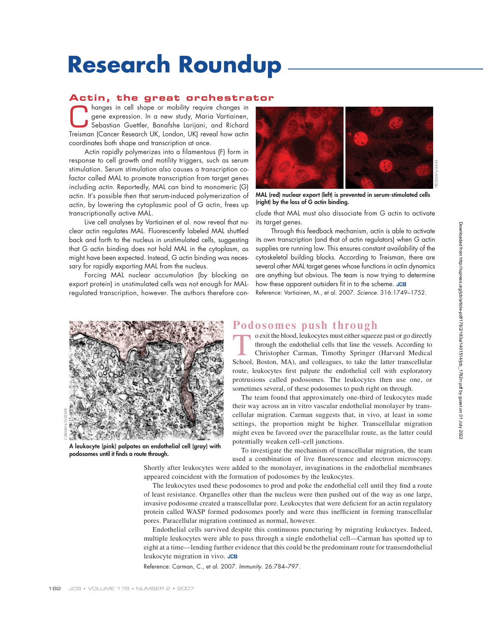# **Research Roundup**

### **Actin, the great orchestrator**

hanges in cell shape or mobility require changes in<br>gene expression. In a new study, Maria Vartiainen,<br>Sebastian Guettler, Banafshe Larijani, and Richard<br>Treisman (Cancer Bescarch LIK, London LIK) reveal bout astin gene expression. In a new study, Maria Vartiainen, Sebastian Guettler, Banafshe Larijani, and Richard Treisman (Cancer Research UK, London, UK) reveal how actin coordinates both shape and transcription at once.

Actin rapidly polymerizes into a filamentous (F) form in response to cell growth and motility triggers, such as serum stimulation. Serum stimulation also causes a transcription cofactor called MAL to promote transcription from target genes including actin. Reportedly, MAL can bind to monomeric (G) actin. It's possible then that serum-induced polymerization of actin, by lowering the cytoplasmic pool of G actin, frees up transcriptionally active MAL.

Live cell analyses by Vartiainen et al. now reveal that nuclear actin regulates MAL. Fluorescently labeled MAL shuttled back and forth to the nucleus in unstimulated cells, suggesting that G actin binding does not hold MAL in the cytoplasm, as might have been expected. Instead, G actin binding was necessary for rapidly exporting MAL from the nucleus.

Forcing MAL nuclear accumulation (by blocking an export protein) in unstimulated cells was not enough for MALregulated transcription, however. The authors therefore con-



**MAL (red) nuclear export (left) is prevented in serum-stimulated cells (right) by the loss of G actin binding.**

clude that MAL must also dissociate from G actin to activate its target genes.

Through this feedback mechanism, actin is able to activate its own transcription (and that of actin regulators) when G actin supplies are running low. This ensures constant availability of the cytoskeletal building blocks. According to Treisman, there are several other MAL target genes whose functions in actin dynamics are anything but obvious. The team is now trying to determine how these apparent outsiders fit in to the scheme. JCB Reference: Vartiainen, M., et al. 2007. Science. 316:1749–1752.



**A leukocyte (pink) palpates an endothelial cell (gray) with**  podosomes until it finds a route through.

## **Podosomes push through**<br>exit the blood, leukocytes must either squeeze past or go directly

o exit the blood, leukocytes must either squeeze past or go directly<br>through the endothelial cells that line the vessels. According to<br>Christopher Carman, Timothy Springer (Harvard Medical<br>School Boston MA) and colleagues through the endothelial cells that line the vessels. According to Christopher Carman, Timothy Springer (Harvard Medical School, Boston, MA), and colleagues, to take the latter transcellular route, leukocytes first palpate the endothelial cell with exploratory protrusions called podosomes. The leukocytes then use one, or sometimes several, of these podosomes to push right on through.

The team found that approximately one-third of leukocytes made their way across an in vitro vascular endothelial monolayer by transcellular migration. Carman suggests that, in vivo, at least in some settings, the proportion might be higher. Transcellular migration might even be favored over the paracellular route, as the latter could potentially weaken cell–cell junctions.

To investigate the mechanism of transcellular migration, the team used a combination of live fluorescence and electron microscopy.

Shortly after leukocytes were added to the monolayer, invaginations in the endothelial membranes appeared coincident with the formation of podosomes by the leukocytes.

The leukocytes used these podosomes to prod and poke the endothelial cell until they find a route of least resistance. Organelles other than the nucleus were then pushed out of the way as one large, invasive podosome created a transcellular pore. Leukocytes that were deficient for an actin regulatory protein called WASP formed podosomes poorly and were thus inefficient in forming transcellular pores. Paracellular migration continued as normal, however.

Endothelial cells survived despite this continuous puncturing by migrating leukoctyes. Indeed, multiple leukocytes were able to pass through a single endothelial cell—Carman has spotted up to eight at a time—lending further evidence that this could be the predominant route for transendothelial leukocyte migration in vivo.

Reference: Carman, C., et al. 2007. Immunity. 26:784–797.